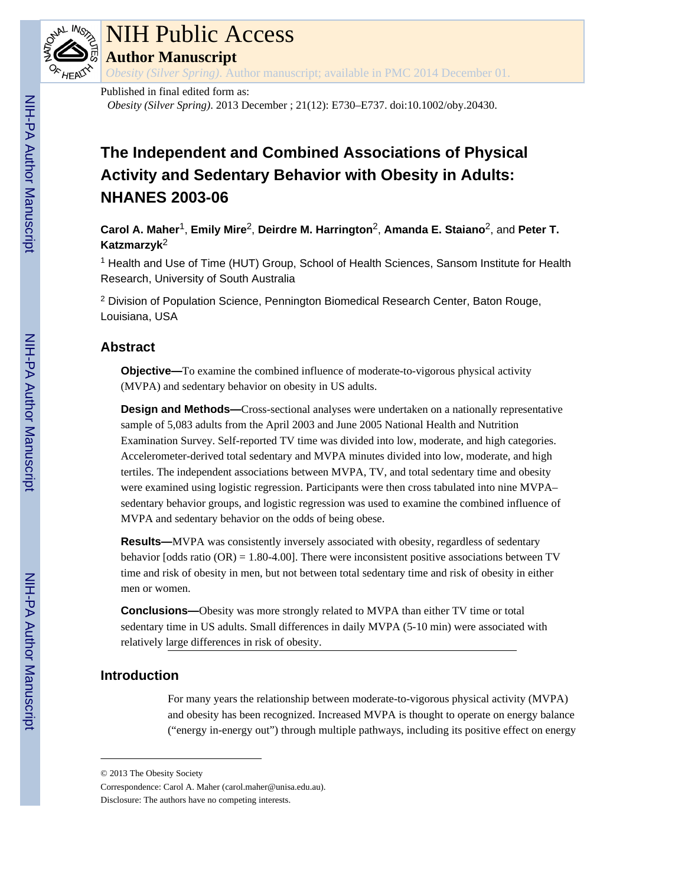

# NIH Public Access

**Author Manuscript**

*Obesity (Silver Spring)*. Author manuscript; available in PMC 2014 December 01.

Published in final edited form as:

*Obesity (Silver Spring)*. 2013 December ; 21(12): E730–E737. doi:10.1002/oby.20430.

## **The Independent and Combined Associations of Physical Activity and Sedentary Behavior with Obesity in Adults: NHANES 2003-06**

**Carol A. Maher**1, **Emily Mire**2, **Deirdre M. Harrington**2, **Amanda E. Staiano**2, and **Peter T. Katzmarzyk**<sup>2</sup>

<sup>1</sup> Health and Use of Time (HUT) Group, School of Health Sciences, Sansom Institute for Health Research, University of South Australia

<sup>2</sup> Division of Population Science, Pennington Biomedical Research Center, Baton Rouge, Louisiana, USA

## **Abstract**

**Objective—**To examine the combined influence of moderate-to-vigorous physical activity (MVPA) and sedentary behavior on obesity in US adults.

**Design and Methods—**Cross-sectional analyses were undertaken on a nationally representative sample of 5,083 adults from the April 2003 and June 2005 National Health and Nutrition Examination Survey. Self-reported TV time was divided into low, moderate, and high categories. Accelerometer-derived total sedentary and MVPA minutes divided into low, moderate, and high tertiles. The independent associations between MVPA, TV, and total sedentary time and obesity were examined using logistic regression. Participants were then cross tabulated into nine MVPA– sedentary behavior groups, and logistic regression was used to examine the combined influence of MVPA and sedentary behavior on the odds of being obese.

**Results—**MVPA was consistently inversely associated with obesity, regardless of sedentary behavior [odds ratio (OR) = 1.80-4.00]. There were inconsistent positive associations between TV time and risk of obesity in men, but not between total sedentary time and risk of obesity in either men or women.

**Conclusions—**Obesity was more strongly related to MVPA than either TV time or total sedentary time in US adults. Small differences in daily MVPA (5-10 min) were associated with relatively large differences in risk of obesity.

## **Introduction**

For many years the relationship between moderate-to-vigorous physical activity (MVPA) and obesity has been recognized. Increased MVPA is thought to operate on energy balance ("energy in-energy out") through multiple pathways, including its positive effect on energy

<sup>© 2013</sup> The Obesity Society

Correspondence: Carol A. Maher (carol.maher@unisa.edu.au). Disclosure: The authors have no competing interests.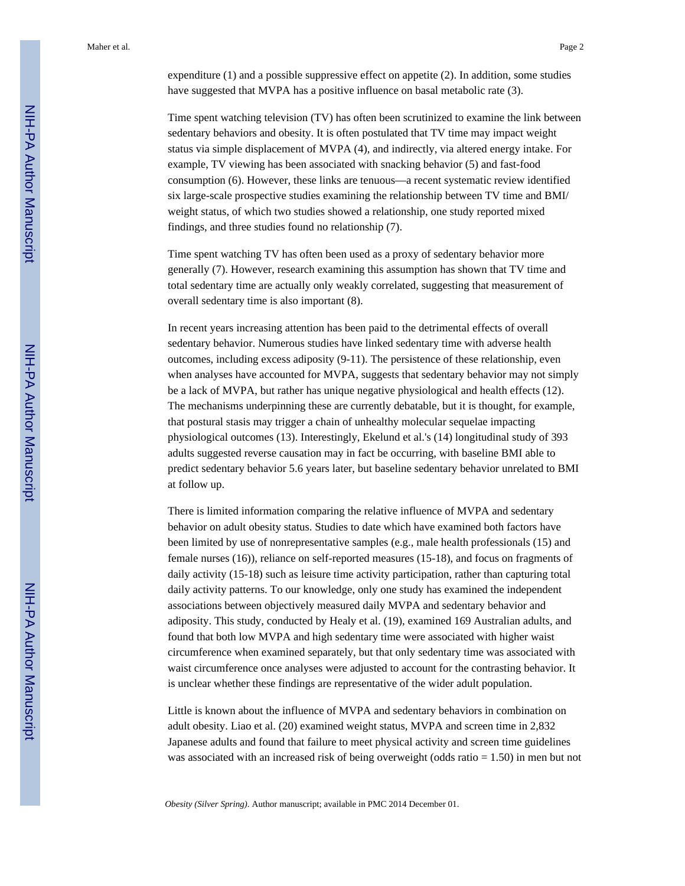Maher et al. Page 2

expenditure (1) and a possible suppressive effect on appetite (2). In addition, some studies have suggested that MVPA has a positive influence on basal metabolic rate (3).

Time spent watching television (TV) has often been scrutinized to examine the link between sedentary behaviors and obesity. It is often postulated that TV time may impact weight status via simple displacement of MVPA (4), and indirectly, via altered energy intake. For example, TV viewing has been associated with snacking behavior (5) and fast-food consumption (6). However, these links are tenuous—a recent systematic review identified six large-scale prospective studies examining the relationship between TV time and BMI/ weight status, of which two studies showed a relationship, one study reported mixed findings, and three studies found no relationship (7).

Time spent watching TV has often been used as a proxy of sedentary behavior more generally (7). However, research examining this assumption has shown that TV time and total sedentary time are actually only weakly correlated, suggesting that measurement of overall sedentary time is also important (8).

In recent years increasing attention has been paid to the detrimental effects of overall sedentary behavior. Numerous studies have linked sedentary time with adverse health outcomes, including excess adiposity (9-11). The persistence of these relationship, even when analyses have accounted for MVPA, suggests that sedentary behavior may not simply be a lack of MVPA, but rather has unique negative physiological and health effects (12). The mechanisms underpinning these are currently debatable, but it is thought, for example, that postural stasis may trigger a chain of unhealthy molecular sequelae impacting physiological outcomes (13). Interestingly, Ekelund et al.'s (14) longitudinal study of 393 adults suggested reverse causation may in fact be occurring, with baseline BMI able to predict sedentary behavior 5.6 years later, but baseline sedentary behavior unrelated to BMI at follow up.

There is limited information comparing the relative influence of MVPA and sedentary behavior on adult obesity status. Studies to date which have examined both factors have been limited by use of nonrepresentative samples (e.g., male health professionals (15) and female nurses (16)), reliance on self-reported measures (15-18), and focus on fragments of daily activity (15-18) such as leisure time activity participation, rather than capturing total daily activity patterns. To our knowledge, only one study has examined the independent associations between objectively measured daily MVPA and sedentary behavior and adiposity. This study, conducted by Healy et al. (19), examined 169 Australian adults, and found that both low MVPA and high sedentary time were associated with higher waist circumference when examined separately, but that only sedentary time was associated with waist circumference once analyses were adjusted to account for the contrasting behavior. It is unclear whether these findings are representative of the wider adult population.

Little is known about the influence of MVPA and sedentary behaviors in combination on adult obesity. Liao et al. (20) examined weight status, MVPA and screen time in 2,832 Japanese adults and found that failure to meet physical activity and screen time guidelines was associated with an increased risk of being overweight (odds ratio  $= 1.50$ ) in men but not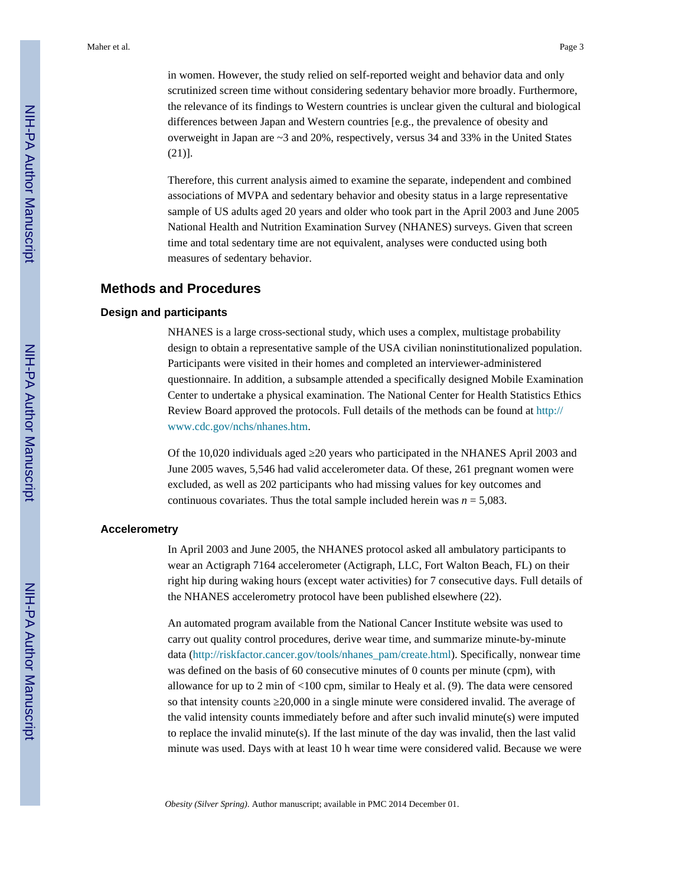in women. However, the study relied on self-reported weight and behavior data and only scrutinized screen time without considering sedentary behavior more broadly. Furthermore, the relevance of its findings to Western countries is unclear given the cultural and biological differences between Japan and Western countries [e.g., the prevalence of obesity and overweight in Japan are ~3 and 20%, respectively, versus 34 and 33% in the United States (21)].

Therefore, this current analysis aimed to examine the separate, independent and combined associations of MVPA and sedentary behavior and obesity status in a large representative sample of US adults aged 20 years and older who took part in the April 2003 and June 2005 National Health and Nutrition Examination Survey (NHANES) surveys. Given that screen time and total sedentary time are not equivalent, analyses were conducted using both measures of sedentary behavior.

## **Methods and Procedures**

## **Design and participants**

NHANES is a large cross-sectional study, which uses a complex, multistage probability design to obtain a representative sample of the USA civilian noninstitutionalized population. Participants were visited in their homes and completed an interviewer-administered questionnaire. In addition, a subsample attended a specifically designed Mobile Examination Center to undertake a physical examination. The National Center for Health Statistics Ethics Review Board approved the protocols. Full details of the methods can be found at [http://](http://www.cdc.gov/nchs/nhanes.htm) [www.cdc.gov/nchs/nhanes.htm](http://www.cdc.gov/nchs/nhanes.htm).

Of the 10,020 individuals aged ≥20 years who participated in the NHANES April 2003 and June 2005 waves, 5,546 had valid accelerometer data. Of these, 261 pregnant women were excluded, as well as 202 participants who had missing values for key outcomes and continuous covariates. Thus the total sample included herein was  $n = 5,083$ .

## **Accelerometry**

In April 2003 and June 2005, the NHANES protocol asked all ambulatory participants to wear an Actigraph 7164 accelerometer (Actigraph, LLC, Fort Walton Beach, FL) on their right hip during waking hours (except water activities) for 7 consecutive days. Full details of the NHANES accelerometry protocol have been published elsewhere (22).

An automated program available from the National Cancer Institute website was used to carry out quality control procedures, derive wear time, and summarize minute-by-minute data [\(http://riskfactor.cancer.gov/tools/nhanes\\_pam/create.html](http://riskfactor.cancer.gov/tools/nhanes_pam/create.html)). Specifically, nonwear time was defined on the basis of 60 consecutive minutes of 0 counts per minute (cpm), with allowance for up to 2 min of  $\langle 100 \text{ cpm}$ , similar to Healy et al. (9). The data were censored so that intensity counts 20,000 in a single minute were considered invalid. The average of the valid intensity counts immediately before and after such invalid minute(s) were imputed to replace the invalid minute(s). If the last minute of the day was invalid, then the last valid minute was used. Days with at least 10 h wear time were considered valid. Because we were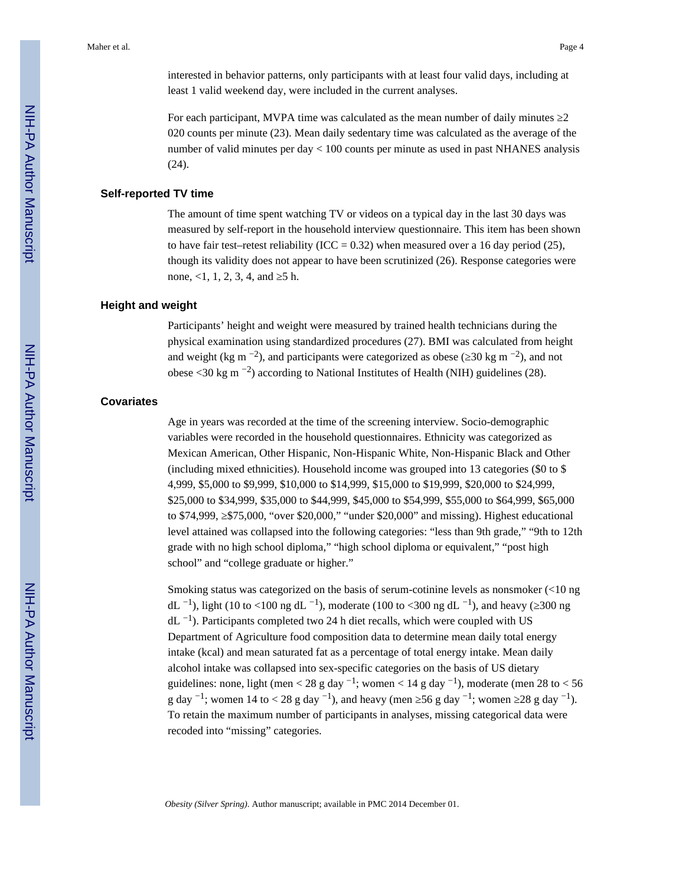interested in behavior patterns, only participants with at least four valid days, including at least 1 valid weekend day, were included in the current analyses.

For each participant, MVPA time was calculated as the mean number of daily minutes 2 020 counts per minute (23). Mean daily sedentary time was calculated as the average of the number of valid minutes per day < 100 counts per minute as used in past NHANES analysis (24).

## **Self-reported TV time**

The amount of time spent watching TV or videos on a typical day in the last 30 days was measured by self-report in the household interview questionnaire. This item has been shown to have fair test–retest reliability (ICC =  $0.32$ ) when measured over a 16 day period (25), though its validity does not appear to have been scrutinized (26). Response categories were none,  $<1$ , 1, 2, 3, 4, and 5 h.

## **Height and weight**

Participants' height and weight were measured by trained health technicians during the physical examination using standardized procedures (27). BMI was calculated from height and weight (kg m<sup>-2</sup>), and participants were categorized as obese ( $30 \text{ kg m}^{-2}$ ), and not obese <30 kg m<sup>-2</sup>) according to National Institutes of Health (NIH) guidelines (28).

#### **Covariates**

Age in years was recorded at the time of the screening interview. Socio-demographic variables were recorded in the household questionnaires. Ethnicity was categorized as Mexican American, Other Hispanic, Non-Hispanic White, Non-Hispanic Black and Other (including mixed ethnicities). Household income was grouped into 13 categories (\$0 to \$ 4,999, \$5,000 to \$9,999, \$10,000 to \$14,999, \$15,000 to \$19,999, \$20,000 to \$24,999, \$25,000 to \$34,999, \$35,000 to \$44,999, \$45,000 to \$54,999, \$55,000 to \$64,999, \$65,000 to \$74,999, \$75,000, "over \$20,000," "under \$20,000" and missing). Highest educational level attained was collapsed into the following categories: "less than 9th grade," "9th to 12th grade with no high school diploma," "high school diploma or equivalent," "post high school" and "college graduate or higher."

Smoking status was categorized on the basis of serum-cotinine levels as nonsmoker (<10 ng dL <sup>-1</sup>), light (10 to <100 ng dL <sup>-1</sup>), moderate (100 to <300 ng dL <sup>-1</sup>), and heavy (–300 ng  $dL^{-1}$ ). Participants completed two 24 h diet recalls, which were coupled with US Department of Agriculture food composition data to determine mean daily total energy intake (kcal) and mean saturated fat as a percentage of total energy intake. Mean daily alcohol intake was collapsed into sex-specific categories on the basis of US dietary guidelines: none, light (men < 28 g day <sup>-1</sup>; women < 14 g day <sup>-1</sup>), moderate (men 28 to < 56 g day <sup>-1</sup>; women 14 to < 28 g day <sup>-1</sup>), and heavy (men 56 g day <sup>-1</sup>; women 28 g day <sup>-1</sup>). To retain the maximum number of participants in analyses, missing categorical data were recoded into "missing" categories.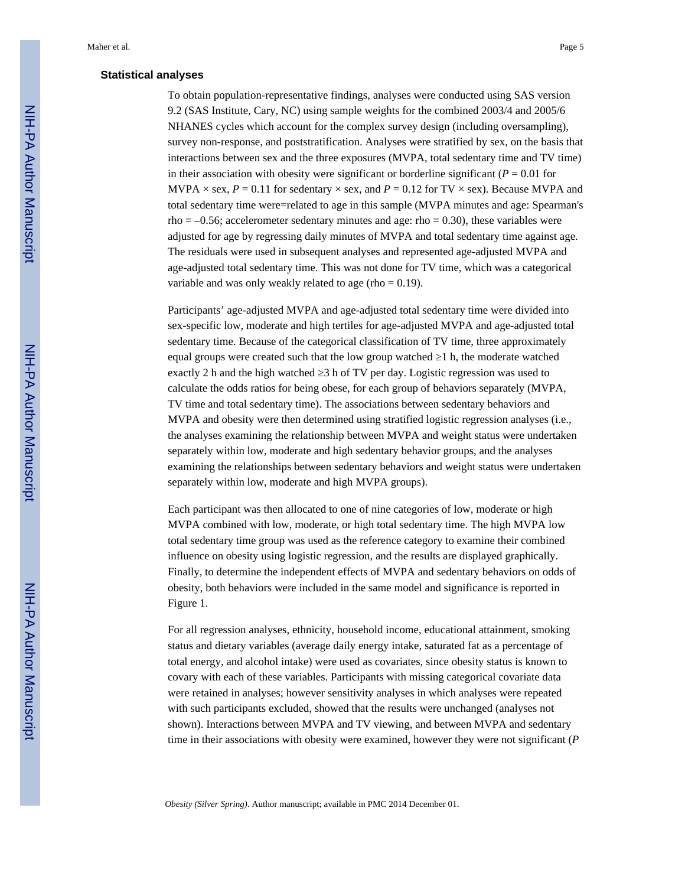#### **Statistical analyses**

To obtain population-representative findings, analyses were conducted using SAS version 9.2 (SAS Institute, Cary, NC) using sample weights for the combined 2003/4 and 2005/6 NHANES cycles which account for the complex survey design (including oversampling), survey non-response, and poststratification. Analyses were stratified by sex, on the basis that interactions between sex and the three exposures (MVPA, total sedentary time and TV time) in their association with obesity were significant or borderline significant  $(P = 0.01$  for MVPA  $\times$  sex,  $P = 0.11$  for sedentary  $\times$  sex, and  $P = 0.12$  for TV  $\times$  sex). Because MVPA and total sedentary time were=related to age in this sample (MVPA minutes and age: Spearman's rho  $= -0.56$ ; accelerometer sedentary minutes and age: rho  $= 0.30$ ), these variables were adjusted for age by regressing daily minutes of MVPA and total sedentary time against age. The residuals were used in subsequent analyses and represented age-adjusted MVPA and age-adjusted total sedentary time. This was not done for TV time, which was a categorical variable and was only weakly related to age (rho  $= 0.19$ ).

Participants' age-adjusted MVPA and age-adjusted total sedentary time were divided into sex-specific low, moderate and high tertiles for age-adjusted MVPA and age-adjusted total sedentary time. Because of the categorical classification of TV time, three approximately equal groups were created such that the low group watched 1 h, the moderate watched exactly 2 h and the high watched  $\overline{3}$  h of TV per day. Logistic regression was used to calculate the odds ratios for being obese, for each group of behaviors separately (MVPA, TV time and total sedentary time). The associations between sedentary behaviors and MVPA and obesity were then determined using stratified logistic regression analyses (i.e., the analyses examining the relationship between MVPA and weight status were undertaken separately within low, moderate and high sedentary behavior groups, and the analyses examining the relationships between sedentary behaviors and weight status were undertaken separately within low, moderate and high MVPA groups).

Each participant was then allocated to one of nine categories of low, moderate or high MVPA combined with low, moderate, or high total sedentary time. The high MVPA low total sedentary time group was used as the reference category to examine their combined influence on obesity using logistic regression, and the results are displayed graphically. Finally, to determine the independent effects of MVPA and sedentary behaviors on odds of obesity, both behaviors were included in the same model and significance is reported in Figure 1.

For all regression analyses, ethnicity, household income, educational attainment, smoking status and dietary variables (average daily energy intake, saturated fat as a percentage of total energy, and alcohol intake) were used as covariates, since obesity status is known to covary with each of these variables. Participants with missing categorical covariate data were retained in analyses; however sensitivity analyses in which analyses were repeated with such participants excluded, showed that the results were unchanged (analyses not shown). Interactions between MVPA and TV viewing, and between MVPA and sedentary time in their associations with obesity were examined, however they were not significant (*P*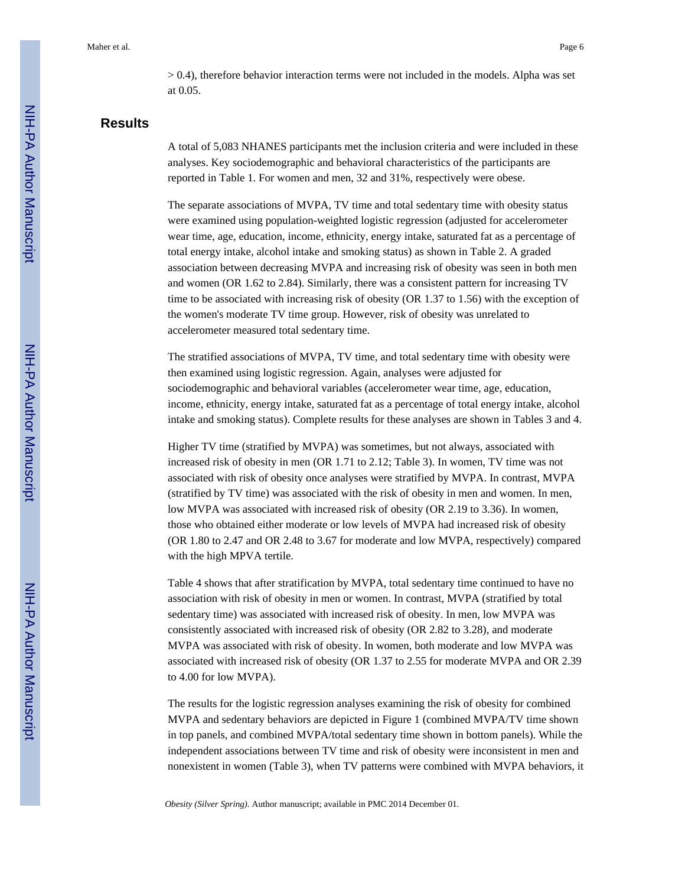$> 0.4$ ), therefore behavior interaction terms were not included in the models. Alpha was set

## **Results**

at 0.05.

A total of 5,083 NHANES participants met the inclusion criteria and were included in these analyses. Key sociodemographic and behavioral characteristics of the participants are reported in Table 1. For women and men, 32 and 31%, respectively were obese.

The separate associations of MVPA, TV time and total sedentary time with obesity status were examined using population-weighted logistic regression (adjusted for accelerometer wear time, age, education, income, ethnicity, energy intake, saturated fat as a percentage of total energy intake, alcohol intake and smoking status) as shown in Table 2. A graded association between decreasing MVPA and increasing risk of obesity was seen in both men and women (OR 1.62 to 2.84). Similarly, there was a consistent pattern for increasing TV time to be associated with increasing risk of obesity (OR 1.37 to 1.56) with the exception of the women's moderate TV time group. However, risk of obesity was unrelated to accelerometer measured total sedentary time.

The stratified associations of MVPA, TV time, and total sedentary time with obesity were then examined using logistic regression. Again, analyses were adjusted for sociodemographic and behavioral variables (accelerometer wear time, age, education, income, ethnicity, energy intake, saturated fat as a percentage of total energy intake, alcohol intake and smoking status). Complete results for these analyses are shown in Tables 3 and 4.

Higher TV time (stratified by MVPA) was sometimes, but not always, associated with increased risk of obesity in men (OR 1.71 to 2.12; Table 3). In women, TV time was not associated with risk of obesity once analyses were stratified by MVPA. In contrast, MVPA (stratified by TV time) was associated with the risk of obesity in men and women. In men, low MVPA was associated with increased risk of obesity (OR 2.19 to 3.36). In women, those who obtained either moderate or low levels of MVPA had increased risk of obesity (OR 1.80 to 2.47 and OR 2.48 to 3.67 for moderate and low MVPA, respectively) compared with the high MPVA tertile.

Table 4 shows that after stratification by MVPA, total sedentary time continued to have no association with risk of obesity in men or women. In contrast, MVPA (stratified by total sedentary time) was associated with increased risk of obesity. In men, low MVPA was consistently associated with increased risk of obesity (OR 2.82 to 3.28), and moderate MVPA was associated with risk of obesity. In women, both moderate and low MVPA was associated with increased risk of obesity (OR 1.37 to 2.55 for moderate MVPA and OR 2.39 to 4.00 for low MVPA).

The results for the logistic regression analyses examining the risk of obesity for combined MVPA and sedentary behaviors are depicted in Figure 1 (combined MVPA/TV time shown in top panels, and combined MVPA/total sedentary time shown in bottom panels). While the independent associations between TV time and risk of obesity were inconsistent in men and nonexistent in women (Table 3), when TV patterns were combined with MVPA behaviors, it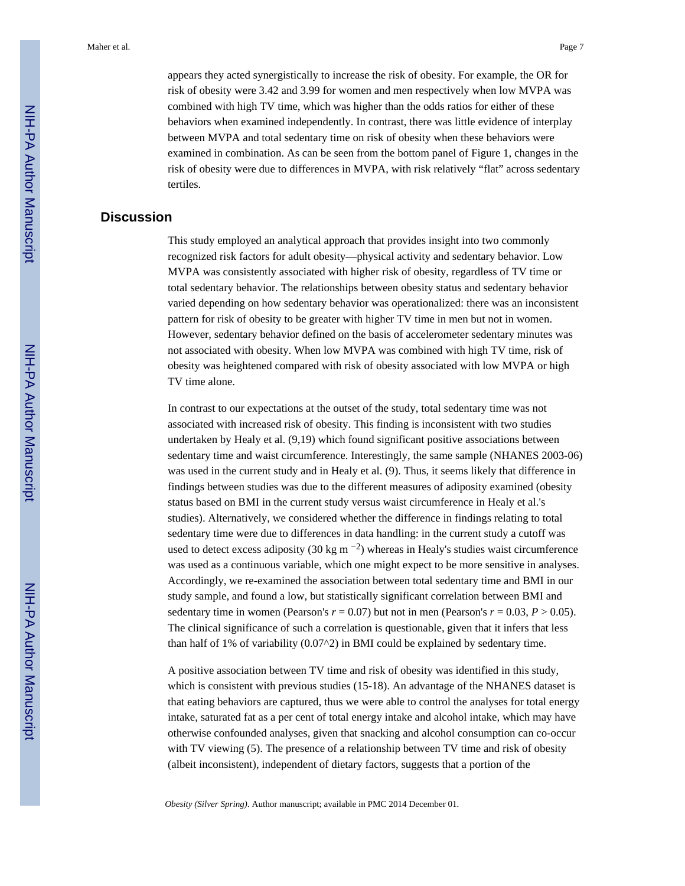appears they acted synergistically to increase the risk of obesity. For example, the OR for risk of obesity were 3.42 and 3.99 for women and men respectively when low MVPA was combined with high TV time, which was higher than the odds ratios for either of these behaviors when examined independently. In contrast, there was little evidence of interplay between MVPA and total sedentary time on risk of obesity when these behaviors were examined in combination. As can be seen from the bottom panel of Figure 1, changes in the risk of obesity were due to differences in MVPA, with risk relatively "flat" across sedentary tertiles.

## **Discussion**

This study employed an analytical approach that provides insight into two commonly recognized risk factors for adult obesity—physical activity and sedentary behavior. Low MVPA was consistently associated with higher risk of obesity, regardless of TV time or total sedentary behavior. The relationships between obesity status and sedentary behavior varied depending on how sedentary behavior was operationalized: there was an inconsistent pattern for risk of obesity to be greater with higher TV time in men but not in women. However, sedentary behavior defined on the basis of accelerometer sedentary minutes was not associated with obesity. When low MVPA was combined with high TV time, risk of obesity was heightened compared with risk of obesity associated with low MVPA or high TV time alone.

In contrast to our expectations at the outset of the study, total sedentary time was not associated with increased risk of obesity. This finding is inconsistent with two studies undertaken by Healy et al. (9,19) which found significant positive associations between sedentary time and waist circumference. Interestingly, the same sample (NHANES 2003-06) was used in the current study and in Healy et al. (9). Thus, it seems likely that difference in findings between studies was due to the different measures of adiposity examined (obesity status based on BMI in the current study versus waist circumference in Healy et al.'s studies). Alternatively, we considered whether the difference in findings relating to total sedentary time were due to differences in data handling: in the current study a cutoff was used to detect excess adiposity (30 kg m  $^{-2}$ ) whereas in Healy's studies waist circumference was used as a continuous variable, which one might expect to be more sensitive in analyses. Accordingly, we re-examined the association between total sedentary time and BMI in our study sample, and found a low, but statistically significant correlation between BMI and sedentary time in women (Pearson's  $r = 0.07$ ) but not in men (Pearson's  $r = 0.03$ ,  $P > 0.05$ ). The clinical significance of such a correlation is questionable, given that it infers that less than half of 1% of variability  $(0.07<sup>2</sup>)$  in BMI could be explained by sedentary time.

A positive association between TV time and risk of obesity was identified in this study, which is consistent with previous studies (15-18). An advantage of the NHANES dataset is that eating behaviors are captured, thus we were able to control the analyses for total energy intake, saturated fat as a per cent of total energy intake and alcohol intake, which may have otherwise confounded analyses, given that snacking and alcohol consumption can co-occur with TV viewing (5). The presence of a relationship between TV time and risk of obesity (albeit inconsistent), independent of dietary factors, suggests that a portion of the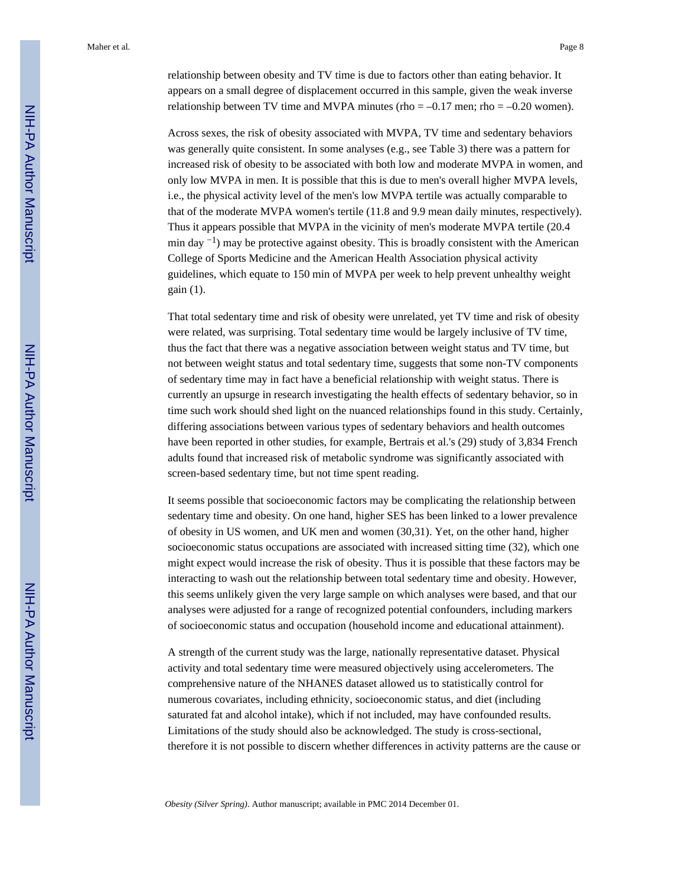relationship between obesity and TV time is due to factors other than eating behavior. It appears on a small degree of displacement occurred in this sample, given the weak inverse relationship between TV time and MVPA minutes (rho  $= -0.17$  men; rho  $= -0.20$  women).

Across sexes, the risk of obesity associated with MVPA, TV time and sedentary behaviors was generally quite consistent. In some analyses (e.g., see Table 3) there was a pattern for increased risk of obesity to be associated with both low and moderate MVPA in women, and only low MVPA in men. It is possible that this is due to men's overall higher MVPA levels, i.e., the physical activity level of the men's low MVPA tertile was actually comparable to that of the moderate MVPA women's tertile (11.8 and 9.9 mean daily minutes, respectively). Thus it appears possible that MVPA in the vicinity of men's moderate MVPA tertile (20.4 min day  $^{-1}$ ) may be protective against obesity. This is broadly consistent with the American College of Sports Medicine and the American Health Association physical activity guidelines, which equate to 150 min of MVPA per week to help prevent unhealthy weight gain (1).

That total sedentary time and risk of obesity were unrelated, yet TV time and risk of obesity were related, was surprising. Total sedentary time would be largely inclusive of TV time, thus the fact that there was a negative association between weight status and TV time, but not between weight status and total sedentary time, suggests that some non-TV components of sedentary time may in fact have a beneficial relationship with weight status. There is currently an upsurge in research investigating the health effects of sedentary behavior, so in time such work should shed light on the nuanced relationships found in this study. Certainly, differing associations between various types of sedentary behaviors and health outcomes have been reported in other studies, for example, Bertrais et al.'s (29) study of 3,834 French adults found that increased risk of metabolic syndrome was significantly associated with screen-based sedentary time, but not time spent reading.

It seems possible that socioeconomic factors may be complicating the relationship between sedentary time and obesity. On one hand, higher SES has been linked to a lower prevalence of obesity in US women, and UK men and women (30,31). Yet, on the other hand, higher socioeconomic status occupations are associated with increased sitting time (32), which one might expect would increase the risk of obesity. Thus it is possible that these factors may be interacting to wash out the relationship between total sedentary time and obesity. However, this seems unlikely given the very large sample on which analyses were based, and that our analyses were adjusted for a range of recognized potential confounders, including markers of socioeconomic status and occupation (household income and educational attainment).

A strength of the current study was the large, nationally representative dataset. Physical activity and total sedentary time were measured objectively using accelerometers. The comprehensive nature of the NHANES dataset allowed us to statistically control for numerous covariates, including ethnicity, socioeconomic status, and diet (including saturated fat and alcohol intake), which if not included, may have confounded results. Limitations of the study should also be acknowledged. The study is cross-sectional, therefore it is not possible to discern whether differences in activity patterns are the cause or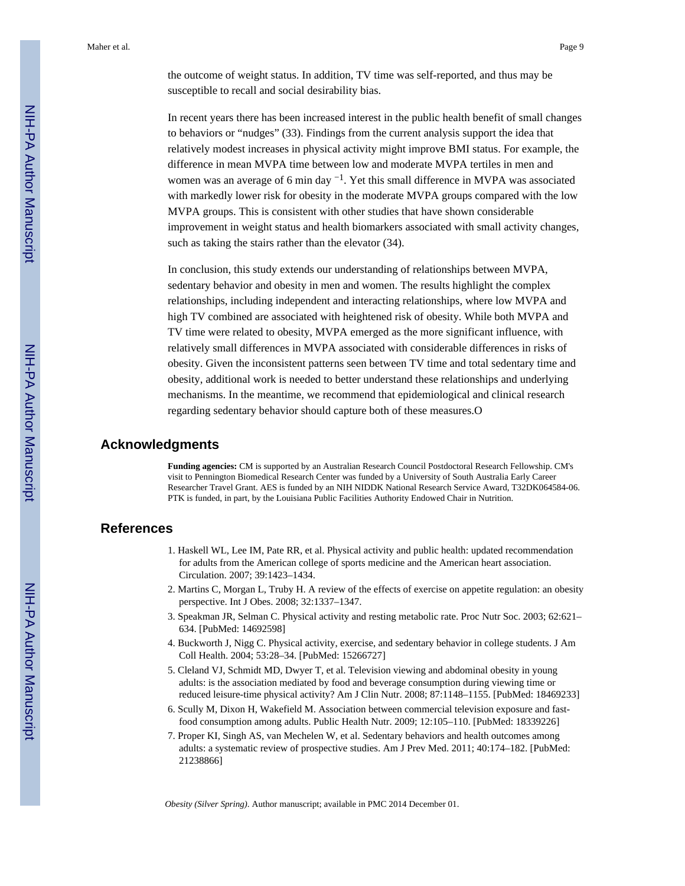the outcome of weight status. In addition, TV time was self-reported, and thus may be susceptible to recall and social desirability bias.

In recent years there has been increased interest in the public health benefit of small changes to behaviors or "nudges" (33). Findings from the current analysis support the idea that relatively modest increases in physical activity might improve BMI status. For example, the difference in mean MVPA time between low and moderate MVPA tertiles in men and women was an average of 6 min day  $^{-1}$ . Yet this small difference in MVPA was associated with markedly lower risk for obesity in the moderate MVPA groups compared with the low MVPA groups. This is consistent with other studies that have shown considerable improvement in weight status and health biomarkers associated with small activity changes, such as taking the stairs rather than the elevator  $(34)$ .

In conclusion, this study extends our understanding of relationships between MVPA, sedentary behavior and obesity in men and women. The results highlight the complex relationships, including independent and interacting relationships, where low MVPA and high TV combined are associated with heightened risk of obesity. While both MVPA and TV time were related to obesity, MVPA emerged as the more significant influence, with relatively small differences in MVPA associated with considerable differences in risks of obesity. Given the inconsistent patterns seen between TV time and total sedentary time and obesity, additional work is needed to better understand these relationships and underlying mechanisms. In the meantime, we recommend that epidemiological and clinical research regarding sedentary behavior should capture both of these measures.O

## **Acknowledgments**

**Funding agencies:** CM is supported by an Australian Research Council Postdoctoral Research Fellowship. CM's visit to Pennington Biomedical Research Center was funded by a University of South Australia Early Career Researcher Travel Grant. AES is funded by an NIH NIDDK National Research Service Award, T32DK064584-06. PTK is funded, in part, by the Louisiana Public Facilities Authority Endowed Chair in Nutrition.

## **References**

- 1. Haskell WL, Lee IM, Pate RR, et al. Physical activity and public health: updated recommendation for adults from the American college of sports medicine and the American heart association. Circulation. 2007; 39:1423–1434.
- 2. Martins C, Morgan L, Truby H. A review of the effects of exercise on appetite regulation: an obesity perspective. Int J Obes. 2008; 32:1337–1347.
- 3. Speakman JR, Selman C. Physical activity and resting metabolic rate. Proc Nutr Soc. 2003; 62:621– 634. [PubMed: 14692598]
- 4. Buckworth J, Nigg C. Physical activity, exercise, and sedentary behavior in college students. J Am Coll Health. 2004; 53:28–34. [PubMed: 15266727]
- 5. Cleland VJ, Schmidt MD, Dwyer T, et al. Television viewing and abdominal obesity in young adults: is the association mediated by food and beverage consumption during viewing time or reduced leisure-time physical activity? Am J Clin Nutr. 2008; 87:1148–1155. [PubMed: 18469233]
- 6. Scully M, Dixon H, Wakefield M. Association between commercial television exposure and fastfood consumption among adults. Public Health Nutr. 2009; 12:105–110. [PubMed: 18339226]
- 7. Proper KI, Singh AS, van Mechelen W, et al. Sedentary behaviors and health outcomes among adults: a systematic review of prospective studies. Am J Prev Med. 2011; 40:174–182. [PubMed: 21238866]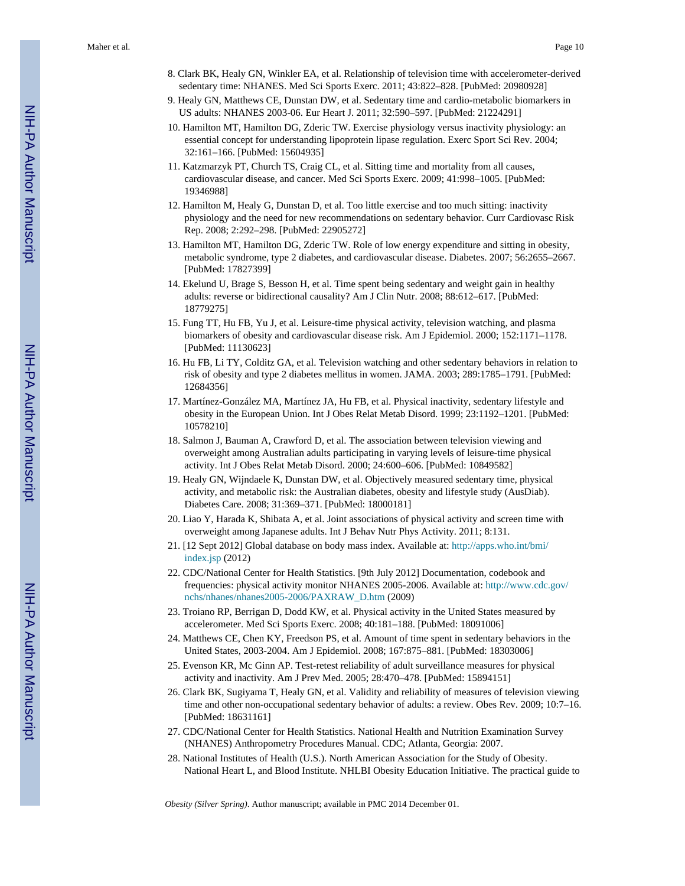- 8. Clark BK, Healy GN, Winkler EA, et al. Relationship of television time with accelerometer-derived sedentary time: NHANES. Med Sci Sports Exerc. 2011; 43:822–828. [PubMed: 20980928]
- 9. Healy GN, Matthews CE, Dunstan DW, et al. Sedentary time and cardio-metabolic biomarkers in US adults: NHANES 2003-06. Eur Heart J. 2011; 32:590–597. [PubMed: 21224291]
- 10. Hamilton MT, Hamilton DG, Zderic TW. Exercise physiology versus inactivity physiology: an essential concept for understanding lipoprotein lipase regulation. Exerc Sport Sci Rev. 2004; 32:161–166. [PubMed: 15604935]
- 11. Katzmarzyk PT, Church TS, Craig CL, et al. Sitting time and mortality from all causes, cardiovascular disease, and cancer. Med Sci Sports Exerc. 2009; 41:998–1005. [PubMed: 19346988]
- 12. Hamilton M, Healy G, Dunstan D, et al. Too little exercise and too much sitting: inactivity physiology and the need for new recommendations on sedentary behavior. Curr Cardiovasc Risk Rep. 2008; 2:292–298. [PubMed: 22905272]
- 13. Hamilton MT, Hamilton DG, Zderic TW. Role of low energy expenditure and sitting in obesity, metabolic syndrome, type 2 diabetes, and cardiovascular disease. Diabetes. 2007; 56:2655–2667. [PubMed: 17827399]
- 14. Ekelund U, Brage S, Besson H, et al. Time spent being sedentary and weight gain in healthy adults: reverse or bidirectional causality? Am J Clin Nutr. 2008; 88:612–617. [PubMed: 18779275]
- 15. Fung TT, Hu FB, Yu J, et al. Leisure-time physical activity, television watching, and plasma biomarkers of obesity and cardiovascular disease risk. Am J Epidemiol. 2000; 152:1171–1178. [PubMed: 11130623]
- 16. Hu FB, Li TY, Colditz GA, et al. Television watching and other sedentary behaviors in relation to risk of obesity and type 2 diabetes mellitus in women. JAMA. 2003; 289:1785–1791. [PubMed: 12684356]
- 17. Martínez-González MA, Martínez JA, Hu FB, et al. Physical inactivity, sedentary lifestyle and obesity in the European Union. Int J Obes Relat Metab Disord. 1999; 23:1192–1201. [PubMed: 10578210]
- 18. Salmon J, Bauman A, Crawford D, et al. The association between television viewing and overweight among Australian adults participating in varying levels of leisure-time physical activity. Int J Obes Relat Metab Disord. 2000; 24:600–606. [PubMed: 10849582]
- 19. Healy GN, Wijndaele K, Dunstan DW, et al. Objectively measured sedentary time, physical activity, and metabolic risk: the Australian diabetes, obesity and lifestyle study (AusDiab). Diabetes Care. 2008; 31:369–371. [PubMed: 18000181]
- 20. Liao Y, Harada K, Shibata A, et al. Joint associations of physical activity and screen time with overweight among Japanese adults. Int J Behav Nutr Phys Activity. 2011; 8:131.
- 21. [12 Sept 2012] Global database on body mass index. Available at: [http://apps.who.int/bmi/](http://apps.who.int/bmi/index.jsp) [index.jsp](http://apps.who.int/bmi/index.jsp) (2012)
- 22. CDC/National Center for Health Statistics. [9th July 2012] Documentation, codebook and frequencies: physical activity monitor NHANES 2005-2006. Available at: [http://www.cdc.gov/](http://www.cdc.gov/nchs/nhanes/nhanes2005-2006/PAXRAW_D.htm) [nchs/nhanes/nhanes2005-2006/PAXRAW\\_D.htm](http://www.cdc.gov/nchs/nhanes/nhanes2005-2006/PAXRAW_D.htm) (2009)
- 23. Troiano RP, Berrigan D, Dodd KW, et al. Physical activity in the United States measured by accelerometer. Med Sci Sports Exerc. 2008; 40:181–188. [PubMed: 18091006]
- 24. Matthews CE, Chen KY, Freedson PS, et al. Amount of time spent in sedentary behaviors in the United States, 2003-2004. Am J Epidemiol. 2008; 167:875–881. [PubMed: 18303006]
- 25. Evenson KR, Mc Ginn AP. Test-retest reliability of adult surveillance measures for physical activity and inactivity. Am J Prev Med. 2005; 28:470–478. [PubMed: 15894151]
- 26. Clark BK, Sugiyama T, Healy GN, et al. Validity and reliability of measures of television viewing time and other non-occupational sedentary behavior of adults: a review. Obes Rev. 2009; 10:7–16. [PubMed: 18631161]
- 27. CDC/National Center for Health Statistics. National Health and Nutrition Examination Survey (NHANES) Anthropometry Procedures Manual. CDC; Atlanta, Georgia: 2007.
- 28. National Institutes of Health (U.S.). North American Association for the Study of Obesity. National Heart L, and Blood Institute. NHLBI Obesity Education Initiative. The practical guide to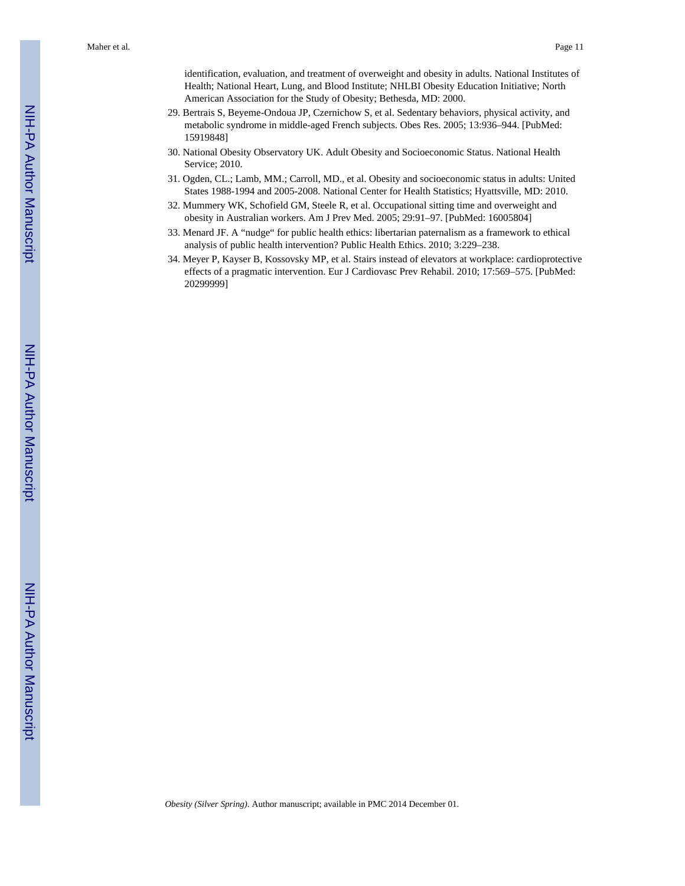identification, evaluation, and treatment of overweight and obesity in adults. National Institutes of Health; National Heart, Lung, and Blood Institute; NHLBI Obesity Education Initiative; North American Association for the Study of Obesity; Bethesda, MD: 2000.

- 29. Bertrais S, Beyeme-Ondoua JP, Czernichow S, et al. Sedentary behaviors, physical activity, and metabolic syndrome in middle-aged French subjects. Obes Res. 2005; 13:936–944. [PubMed: 15919848]
- 30. National Obesity Observatory UK. Adult Obesity and Socioeconomic Status. National Health Service; 2010.
- 31. Ogden, CL.; Lamb, MM.; Carroll, MD., et al. Obesity and socioeconomic status in adults: United States 1988-1994 and 2005-2008. National Center for Health Statistics; Hyattsville, MD: 2010.
- 32. Mummery WK, Schofield GM, Steele R, et al. Occupational sitting time and overweight and obesity in Australian workers. Am J Prev Med. 2005; 29:91–97. [PubMed: 16005804]
- 33. Menard JF. A "nudge" for public health ethics: libertarian paternalism as a framework to ethical analysis of public health intervention? Public Health Ethics. 2010; 3:229–238.
- 34. Meyer P, Kayser B, Kossovsky MP, et al. Stairs instead of elevators at workplace: cardioprotective effects of a pragmatic intervention. Eur J Cardiovasc Prev Rehabil. 2010; 17:569–575. [PubMed: 20299999]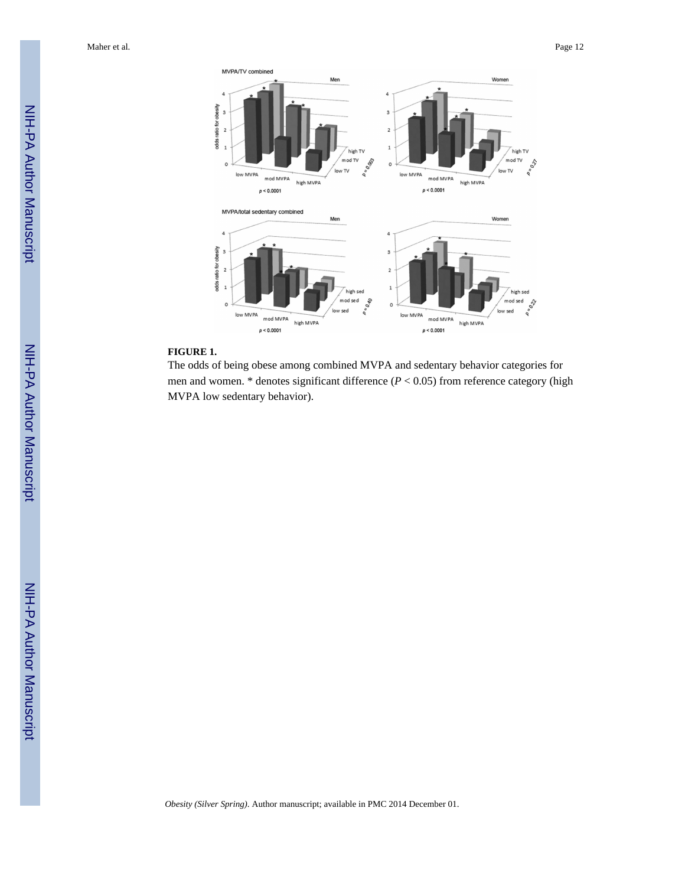Maher et al. Page 12



## **FIGURE 1.**

The odds of being obese among combined MVPA and sedentary behavior categories for men and women. \* denotes significant difference (*P* < 0.05) from reference category (high MVPA low sedentary behavior).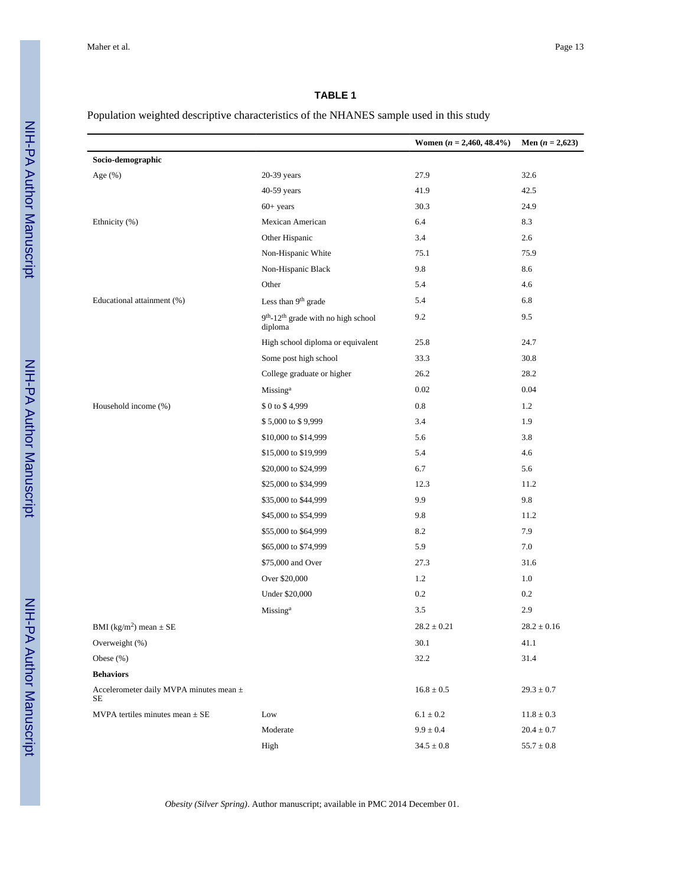Population weighted descriptive characteristics of the NHANES sample used in this study

|                                               |                                                                        | Women $(n = 2,460, 48.4\%)$ | Men $(n = 2,623)$ |
|-----------------------------------------------|------------------------------------------------------------------------|-----------------------------|-------------------|
| Socio-demographic                             |                                                                        |                             |                   |
| Age (%)                                       | $20-39$ years                                                          | 27.9                        | 32.6              |
|                                               | $40-59$ years                                                          | 41.9                        | 42.5              |
|                                               | $60+ years$                                                            | 30.3                        | 24.9              |
| Ethnicity (%)                                 | Mexican American                                                       | 6.4                         | 8.3               |
|                                               | Other Hispanic                                                         | 3.4                         | 2.6               |
|                                               | Non-Hispanic White                                                     | 75.1                        | 75.9              |
|                                               | Non-Hispanic Black                                                     | 9.8                         | 8.6               |
|                                               | Other                                                                  | 5.4                         | 4.6               |
| Educational attainment (%)                    | Less than 9 <sup>th</sup> grade                                        | 5.4                         | 6.8               |
|                                               | 9 <sup>th</sup> -12 <sup>th</sup> grade with no high school<br>diploma | 9.2                         | 9.5               |
|                                               | High school diploma or equivalent                                      | 25.8                        | 24.7              |
|                                               | Some post high school                                                  | 33.3                        | 30.8              |
|                                               | College graduate or higher                                             | 26.2                        | 28.2              |
|                                               | Missing <sup>a</sup>                                                   | 0.02                        | 0.04              |
| Household income (%)                          | \$0 to \$4,999                                                         | 0.8                         | 1.2               |
|                                               | \$5,000 to \$9,999                                                     | 3.4                         | 1.9               |
|                                               | \$10,000 to \$14,999                                                   | 5.6                         | 3.8               |
|                                               | \$15,000 to \$19,999                                                   | 5.4                         | 4.6               |
|                                               | \$20,000 to \$24,999                                                   | 6.7                         | 5.6               |
|                                               | \$25,000 to \$34,999                                                   | 12.3                        | 11.2              |
|                                               | \$35,000 to \$44,999                                                   | 9.9                         | 9.8               |
|                                               | \$45,000 to \$54,999                                                   | 9.8                         | 11.2              |
|                                               | \$55,000 to \$64,999                                                   | 8.2                         | 7.9               |
|                                               | \$65,000 to \$74,999                                                   | 5.9                         | 7.0               |
|                                               | \$75,000 and Over                                                      | 27.3                        | 31.6              |
|                                               | Over \$20,000                                                          | 1.2                         | 1.0               |
|                                               | Under \$20,000                                                         | 0.2                         | 0.2               |
|                                               | <b>Missing</b> <sup>a</sup>                                            | 3.5                         | 2.9               |
| BMI ( $kg/m2$ ) mean $\pm$ SE                 |                                                                        | $28.2 \pm 0.21$             | $28.2 \pm 0.16$   |
| Overweight (%)                                |                                                                        | 30.1                        | 41.1              |
| Obese (%)                                     |                                                                        | 32.2                        | 31.4              |
| <b>Behaviors</b>                              |                                                                        |                             |                   |
| Accelerometer daily MVPA minutes mean ±<br>SE |                                                                        | $16.8 \pm 0.5$              | $29.3 \pm 0.7$    |
| MVPA tertiles minutes mean $\pm$ SE           | Low                                                                    | $6.1\pm0.2$                 | $11.8 \pm 0.3$    |
|                                               | Moderate                                                               | $9.9 \pm 0.4$               | $20.4 \pm 0.7$    |
|                                               | High                                                                   | $34.5 \pm 0.8$              | $55.7 \pm 0.8$    |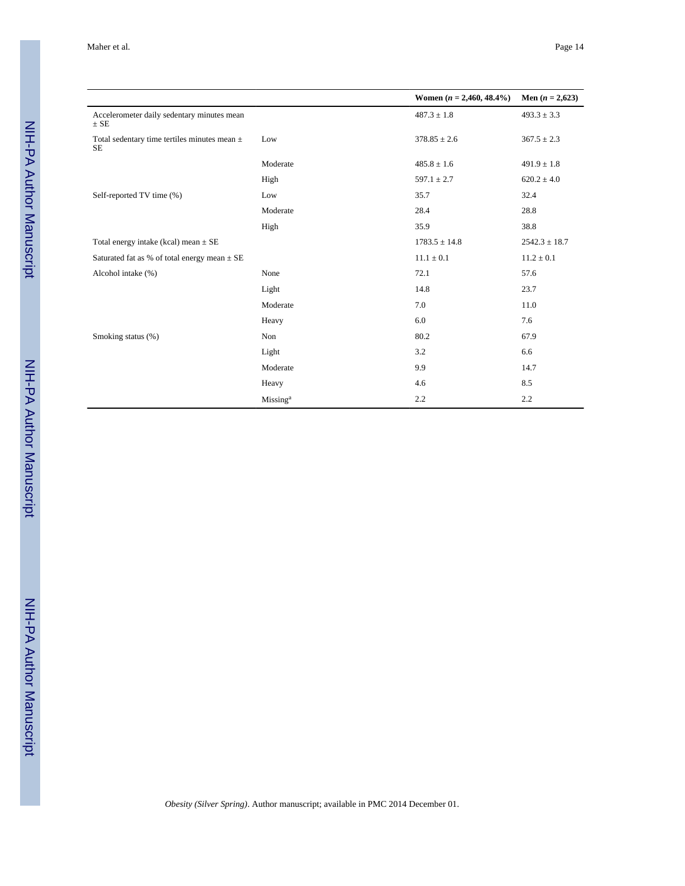Maher et al. Page 14

|                                                               |                      | Women $(n = 2,460, 48.4\%)$ | Men $(n = 2,623)$ |
|---------------------------------------------------------------|----------------------|-----------------------------|-------------------|
| Accelerometer daily sedentary minutes mean<br>$\pm$ SE        |                      | $487.3 \pm 1.8$             | $493.3 \pm 3.3$   |
| Total sedentary time tertiles minutes mean $\pm$<br><b>SE</b> | Low                  | $378.85 \pm 2.6$            | $367.5 \pm 2.3$   |
|                                                               | Moderate             | $485.8 \pm 1.6$             | $491.9 \pm 1.8$   |
|                                                               | High                 | $597.1 \pm 2.7$             | $620.2 \pm 4.0$   |
| Self-reported TV time (%)                                     | Low                  | 35.7                        | 32.4              |
|                                                               | Moderate             | 28.4                        | 28.8              |
|                                                               | High                 | 35.9                        | 38.8              |
| Total energy intake (kcal) mean $\pm$ SE                      |                      | $1783.5 \pm 14.8$           | $2542.3 \pm 18.7$ |
| Saturated fat as % of total energy mean $\pm$ SE              |                      | $11.1 \pm 0.1$              | $11.2 \pm 0.1$    |
| Alcohol intake (%)                                            | None                 | 72.1                        | 57.6              |
|                                                               | Light                | 14.8                        | 23.7              |
|                                                               | Moderate             | 7.0                         | 11.0              |
|                                                               | Heavy                | 6.0                         | 7.6               |
| Smoking status (%)                                            | Non                  | 80.2                        | 67.9              |
|                                                               | Light                | 3.2                         | 6.6               |
|                                                               | Moderate             | 9.9                         | 14.7              |
|                                                               | Heavy                | 4.6                         | 8.5               |
|                                                               | Missing <sup>a</sup> | 2.2                         | 2.2               |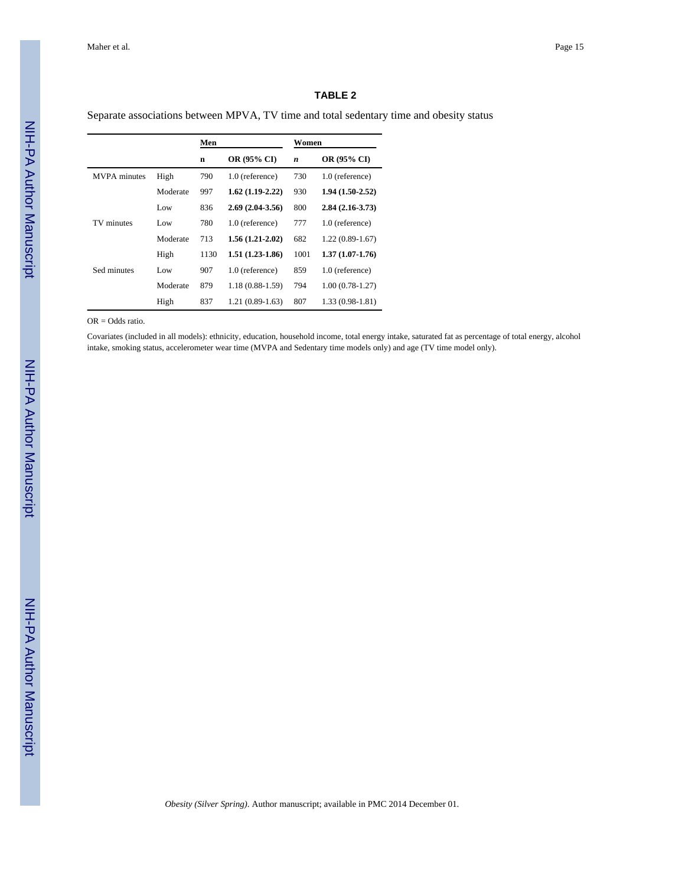Separate associations between MPVA, TV time and total sedentary time and obesity status

|                     |          | Men  |                    | Women            |                   |
|---------------------|----------|------|--------------------|------------------|-------------------|
|                     |          | n    | <b>OR (95% CI)</b> | $\boldsymbol{n}$ | OR (95% CI)       |
| <b>MVPA</b> minutes | High     | 790  | 1.0 (reference)    | 730              | 1.0 (reference)   |
|                     | Moderate | 997  | $1.62(1.19-2.22)$  | 930              | $1.94(1.50-2.52)$ |
|                     | Low      | 836  | $2.69(2.04-3.56)$  | 800              | $2.84(2.16-3.73)$ |
| TV minutes          | Low      | 780  | 1.0 (reference)    | 777              | 1.0 (reference)   |
|                     | Moderate | 713  | $1.56(1.21-2.02)$  | 682              | $1.22(0.89-1.67)$ |
|                     | High     | 1130 | $1.51(1.23-1.86)$  | 1001             | $1.37(1.07-1.76)$ |
| Sed minutes         | Low      | 907  | 1.0 (reference)    | 859              | 1.0 (reference)   |
|                     | Moderate | 879  | $1.18(0.88-1.59)$  | 794              | $1.00(0.78-1.27)$ |
|                     | High     | 837  | $1.21(0.89-1.63)$  | 807              | $1.33(0.98-1.81)$ |

OR = Odds ratio.

Covariates (included in all models): ethnicity, education, household income, total energy intake, saturated fat as percentage of total energy, alcohol intake, smoking status, accelerometer wear time (MVPA and Sedentary time models only) and age (TV time model only).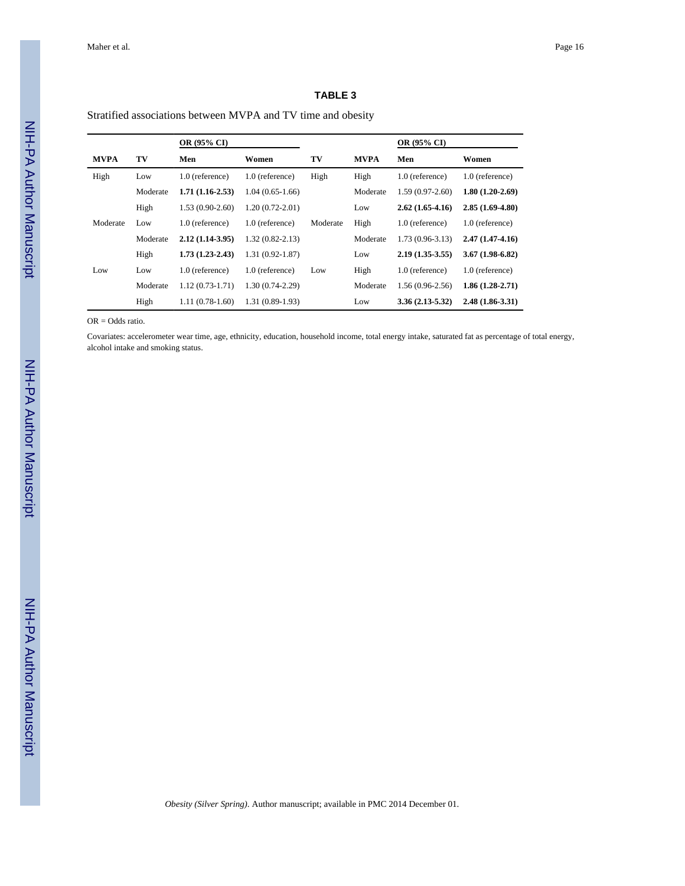## Stratified associations between MVPA and TV time and obesity

|             |          | OR (95% CI)       |                     |          |             | OR (95% CI)       |                   |
|-------------|----------|-------------------|---------------------|----------|-------------|-------------------|-------------------|
| <b>MVPA</b> | TV       | Men               | Women               | TV       | <b>MVPA</b> | Men               | Women             |
| High        | Low      | 1.0 (reference)   | 1.0 (reference)     | High     | High        | $1.0$ (reference) | 1.0 (reference)   |
|             | Moderate | $1.71(1.16-2.53)$ | $1.04(0.65-1.66)$   |          | Moderate    | $1.59(0.97-2.60)$ | $1.80(1.20-2.69)$ |
|             | High     | $1.53(0.90-2.60)$ | $1.20(0.72 - 2.01)$ |          | Low         | $2.62(1.65-4.16)$ | $2.85(1.69-4.80)$ |
| Moderate    | Low      | 1.0 (reference)   | 1.0 (reference)     | Moderate | High        | 1.0 (reference)   | $1.0$ (reference) |
|             | Moderate | $2.12(1.14-3.95)$ | $1.32(0.82 - 2.13)$ |          | Moderate    | $1.73(0.96-3.13)$ | $2.47(1.47-4.16)$ |
|             | High     | $1.73(1.23-2.43)$ | $1.31(0.92 - 1.87)$ |          | Low         | $2.19(1.35-3.55)$ | $3.67(1.98-6.82)$ |
| Low         | Low      | 1.0 (reference)   | 1.0 (reference)     | Low      | High        | $1.0$ (reference) | $1.0$ (reference) |
|             | Moderate | $1.12(0.73-1.71)$ | $1.30(0.74-2.29)$   |          | Moderate    | $1.56(0.96-2.56)$ | $1.86(1.28-2.71)$ |
|             | High     | $1.11(0.78-1.60)$ | $1.31(0.89-1.93)$   |          | Low         | $3.36(2.13-5.32)$ | $2.48(1.86-3.31)$ |

OR = Odds ratio.

Covariates: accelerometer wear time, age, ethnicity, education, household income, total energy intake, saturated fat as percentage of total energy, alcohol intake and smoking status.